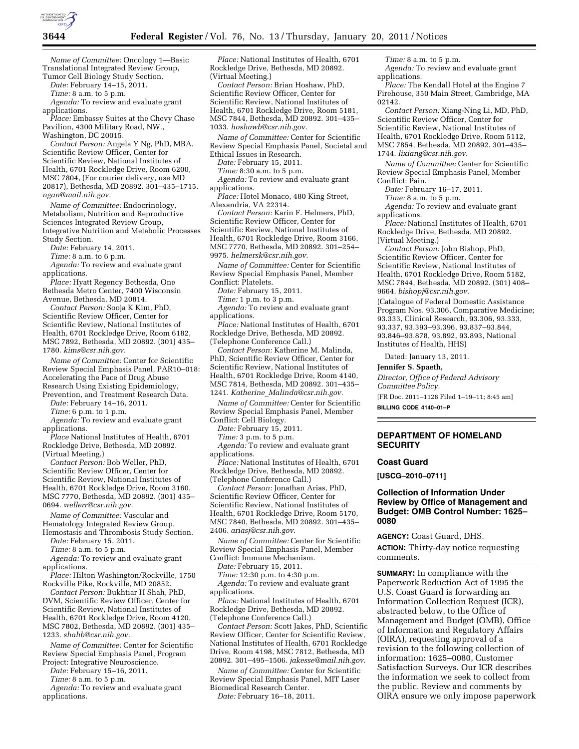

*Name of Committee:* Oncology 1—Basic Translational Integrated Review Group, Tumor Cell Biology Study Section.

*Date:* February 14–15, 2011.

*Time:* 8 a.m. to 5 p.m.

*Agenda:* To review and evaluate grant applications.

*Place:* Embassy Suites at the Chevy Chase Pavilion, 4300 Military Road, NW., Washington, DC 20015.

*Contact Person:* Angela Y Ng, PhD, MBA, Scientific Review Officer, Center for Scientific Review, National Institutes of Health, 6701 Rockledge Drive, Room 6200, MSC 7804, (For courier delivery, use MD 20817), Bethesda, MD 20892. 301–435–1715. *[ngan@mail.nih.gov.](mailto:ngan@mail.nih.gov)* 

*Name of Committee:* Endocrinology, Metabolism, Nutrition and Reproductive Sciences Integrated Review Group, Integrative Nutrition and Metabolic Processes Study Section.

*Date:* February 14, 2011.

*Time:* 8 a.m. to 6 p.m.

*Agenda:* To review and evaluate grant applications.

*Place:* Hyatt Regency Bethesda, One Bethesda Metro Center, 7400 Wisconsin Avenue, Bethesda, MD 20814.

*Contact Person:* Sooja K Kim, PhD, Scientific Review Officer, Center for Scientific Review, National Institutes of Health, 6701 Rockledge Drive, Room 6182, MSC 7892, Bethesda, MD 20892. (301) 435– 1780. *[kims@csr.nih.gov.](mailto:kims@csr.nih.gov)* 

*Name of Committee:* Center for Scientific Review Special Emphasis Panel, PAR10–018: Accelerating the Pace of Drug Abuse Research Using Existing Epidemiology, Prevention, and Treatment Research Data.

*Date:* February 14–16, 2011.

*Time:* 6 p.m. to 1 p.m.

*Agenda:* To review and evaluate grant applications.

*Place* National Institutes of Health, 6701 Rockledge Drive, Bethesda, MD 20892. (Virtual Meeting.)

*Contact Person:* Bob Weller, PhD, Scientific Review Officer, Center for Scientific Review, National Institutes of Health, 6701 Rockledge Drive, Room 3160, MSC 7770, Bethesda, MD 20892. (301) 435– 0694. *[wellerr@csr.nih.gov.](mailto:wellerr@csr.nih.gov)* 

*Name of Committee:* Vascular and Hematology Integrated Review Group, Hemostasis and Thrombosis Study Section.

*Date:* February 15, 2011.

*Time:* 8 a.m. to 5 p.m.

*Agenda:* To review and evaluate grant applications.

*Place:* Hilton Washington/Rockville, 1750 Rockville Pike, Rockville, MD 20852.

*Contact Person:* Bukhtiar H Shah, PhD, DVM, Scientific Review Officer, Center for Scientific Review, National Institutes of Health, 6701 Rockledge Drive, Room 4120, MSC 7802, Bethesda, MD 20892. (301) 435– 1233. *[shahb@csr.nih.gov.](mailto:shahb@csr.nih.gov)* 

*Name of Committee:* Center for Scientific Review Special Emphasis Panel, Program Project: Integrative Neuroscience.

*Date:* February 15–16, 2011.

*Time:* 8 a.m. to 5 p.m.

*Agenda:* To review and evaluate grant applications.

*Place:* National Institutes of Health, 6701 Rockledge Drive, Bethesda, MD 20892. (Virtual Meeting.)

*Contact Person:* Brian Hoshaw, PhD, Scientific Review Officer, Center for Scientific Review, National Institutes of Health, 6701 Rockledge Drive, Room 5181, MSC 7844, Bethesda, MD 20892. 301–435– 1033. *[hoshawb@csr.nih.gov.](mailto:hoshawb@csr.nih.gov)* 

*Name of Committee:* Center for Scientific Review Special Emphasis Panel, Societal and Ethical Issues in Research.

*Date:* February 15, 2011.

*Time:* 8:30 a.m. to 5 p.m.

*Agenda:* To review and evaluate grant applications.

*Place:* Hotel Monaco, 480 King Street, Alexandria, VA 22314.

*Contact Person:* Karin F. Helmers, PhD, Scientific Review Officer, Center for Scientific Review, National Institutes of Health, 6701 Rockledge Drive, Room 3166, MSC 7770, Bethesda, MD 20892. 301–254– 9975. *[helmersk@csr.nih.gov](mailto:helmersk@csr.nih.gov)*.

*Name of Committee:* Center for Scientific Review Special Emphasis Panel, Member Conflict: Platelets.

*Date:* February 15, 2011.

*Time:* 1 p.m. to 3 p.m.

*Agenda:* To review and evaluate grant applications.

*Place:* National Institutes of Health, 6701 Rockledge Drive, Bethesda, MD 20892. (Telephone Conference Call.)

*Contact Person:* Katherine M. Malinda, PhD, Scientific Review Officer, Center for Scientific Review, National Institutes of Health, 6701 Rockledge Drive, Room 4140, MSC 7814, Bethesda, MD 20892. 301–435– 1241. *Katherine*\_*[Malinda@csr.nih.gov.](mailto:Katherine_Malinda@csr.nih.gov)* 

*Name of Committee:* Center for Scientific Review Special Emphasis Panel, Member Conflict: Cell Biology.

*Date:* February 15, 2011.

*Time:* 3 p.m. to 5 p.m.

*Agenda:* To review and evaluate grant applications.

*Place:* National Institutes of Health, 6701 Rockledge Drive, Bethesda, MD 20892. (Telephone Conference Call.)

*Contact Person:* Jonathan Arias, PhD, Scientific Review Officer, Center for Scientific Review, National Institutes of Health, 6701 Rockledge Drive, Room 5170, MSC 7840, Bethesda, MD 20892. 301–435– 2406. *[ariasj@csr.nih.gov](mailto:ariasj@csr.nih.gov)*.

*Name of Committee:* Center for Scientific Review Special Emphasis Panel, Member Conflict: Immune Mechanism.

*Date:* February 15, 2011.

*Time:* 12:30 p.m. to 4:30 p.m.

*Agenda:* To review and evaluate grant applications.

*Place:* National Institutes of Health, 6701 Rockledge Drive, Bethesda, MD 20892. (Telephone Conference Call.)

*Contact Person:* Scott Jakes, PhD, Scientific Review Officer, Center for Scientific Review, National Institutes of Health, 6701 Rockledge Drive, Room 4198, MSC 7812, Bethesda, MD 20892. 301–495–1506. *[jakesse@mail.nih.gov](mailto:jakesse@mail.nih.gov)*.

*Name of Committee:* Center for Scientific Review Special Emphasis Panel, MIT Laser Biomedical Research Center.

*Date:* February 16–18, 2011.

*Time:* 8 a.m. to 5 p.m. *Agenda:* To review and evaluate grant applications.

*Place:* The Kendall Hotel at the Engine 7 Firehouse, 350 Main Street, Cambridge, MA 02142.

*Contact Person:* Xiang-Ning Li, MD, PhD, Scientific Review Officer, Center for Scientific Review, National Institutes of Health, 6701 Rockledge Drive, Room 5112, MSC 7854, Bethesda, MD 20892. 301–435– 1744. *[lixiang@csr.nih.gov](mailto:lixiang@csr.nih.gov)*.

*Name of Committee:* Center for Scientific Review Special Emphasis Panel, Member Conflict: Pain.

*Date:* February 16–17, 2011.

*Time:* 8 a.m. to 5 p.m.

*Agenda:* To review and evaluate grant applications.

*Place:* National Institutes of Health, 6701 Rockledge Drive, Bethesda, MD 20892. (Virtual Meeting.)

*Contact Person:* John Bishop, PhD, Scientific Review Officer, Center for Scientific Review, National Institutes of Health, 6701 Rockledge Drive, Room 5182, MSC 7844, Bethesda, MD 20892. (301) 408– 9664. *[bishopj@csr.nih.gov](mailto:bishopj@csr.nih.gov)*.

(Catalogue of Federal Domestic Assistance Program Nos. 93.306, Comparative Medicine; 93.333, Clinical Research, 93.306, 93.333, 93.337, 93.393–93.396, 93.837–93.844, 93.846–93.878, 93.892, 93.893, National Institutes of Health, HHS)

Dated: January 13, 2011.

**Jennifer S. Spaeth,** 

*Director, Office of Federal Advisory Committee Policy.*  [FR Doc. 2011–1128 Filed 1–19–11; 8:45 am]

**BILLING CODE 4140–01–P** 

# **DEPARTMENT OF HOMELAND SECURITY**

# **Coast Guard**

**[USCG–2010–0711]** 

# **Collection of Information Under Review by Office of Management and Budget: OMB Control Number: 1625– 0080**

**AGENCY:** Coast Guard, DHS.

**ACTION:** Thirty-day notice requesting comments.

**SUMMARY:** In compliance with the Paperwork Reduction Act of 1995 the U.S. Coast Guard is forwarding an Information Collection Request (ICR), abstracted below, to the Office of Management and Budget (OMB), Office of Information and Regulatory Affairs (OIRA), requesting approval of a revision to the following collection of information: 1625–0080, Customer Satisfaction Surveys. Our ICR describes the information we seek to collect from the public. Review and comments by OIRA ensure we only impose paperwork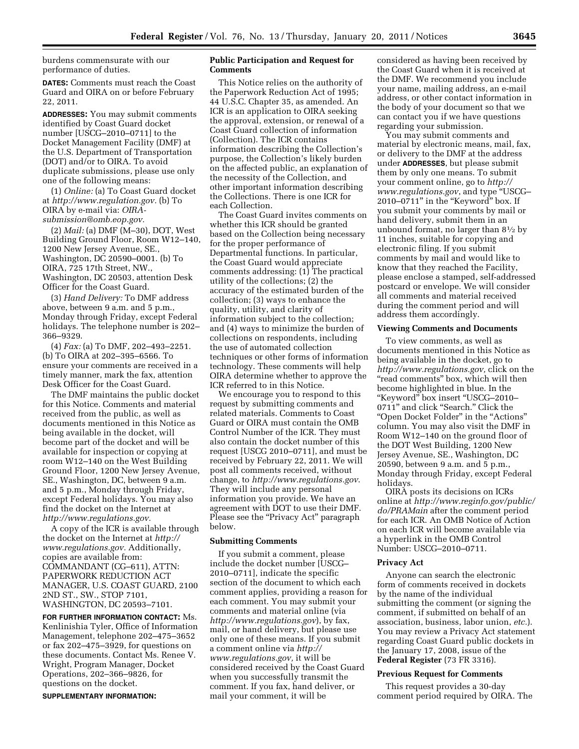burdens commensurate with our performance of duties.

**DATES:** Comments must reach the Coast Guard and OIRA on or before February 22, 2011.

**ADDRESSES:** You may submit comments identified by Coast Guard docket number [USCG–2010–0711] to the Docket Management Facility (DMF) at the U.S. Department of Transportation (DOT) and/or to OIRA. To avoid duplicate submissions, please use only one of the following means:

(1) *Online:* (a) To Coast Guard docket at *[http://www.regulation.gov.](http://www.regulation.gov)* (b) To OIRA by e-mail via: *[OIRA](mailto:OIRA-submission@omb.eop.gov)[submission@omb.eop.gov.](mailto:OIRA-submission@omb.eop.gov)* 

(2) *Mail:* (a) DMF (M–30), DOT, West Building Ground Floor, Room W12–140, 1200 New Jersey Avenue, SE., Washington, DC 20590–0001. (b) To OIRA, 725 17th Street, NW., Washington, DC 20503, attention Desk Officer for the Coast Guard.

(3) *Hand Delivery:* To DMF address above, between 9 a.m. and 5 p.m., Monday through Friday, except Federal holidays. The telephone number is 202– 366–9329.

(4) *Fax:* (a) To DMF, 202–493–2251. (b) To OIRA at 202–395–6566. To ensure your comments are received in a timely manner, mark the fax, attention Desk Officer for the Coast Guard.

The DMF maintains the public docket for this Notice. Comments and material received from the public, as well as documents mentioned in this Notice as being available in the docket, will become part of the docket and will be available for inspection or copying at room W12–140 on the West Building Ground Floor, 1200 New Jersey Avenue, SE., Washington, DC, between 9 a.m. and 5 p.m., Monday through Friday, except Federal holidays. You may also find the docket on the Internet at *[http://www.regulations.gov.](http://www.regulations.gov)* 

A copy of the ICR is available through the docket on the Internet at *[http://](http://www.regulations.gov) [www.regulations.gov.](http://www.regulations.gov)* Additionally, copies are available from: COMMANDANT (CG–611), ATTN: PAPERWORK REDUCTION ACT MANAGER, U.S. COAST GUARD, 2100 2ND ST., SW., STOP 7101, WASHINGTON, DC 20593–7101.

**FOR FURTHER INFORMATION CONTACT:** Ms. Kenlinishia Tyler, Office of Information Management, telephone 202–475–3652 or fax 202–475–3929, for questions on these documents. Contact Ms. Renee V. Wright, Program Manager, Docket Operations, 202–366–9826, for questions on the docket.

**SUPPLEMENTARY INFORMATION:** 

# **Public Participation and Request for Comments**

This Notice relies on the authority of the Paperwork Reduction Act of 1995; 44 U.S.C. Chapter 35, as amended. An ICR is an application to OIRA seeking the approval, extension, or renewal of a Coast Guard collection of information (Collection). The ICR contains information describing the Collection's purpose, the Collection's likely burden on the affected public, an explanation of the necessity of the Collection, and other important information describing the Collections. There is one ICR for each Collection.

The Coast Guard invites comments on whether this ICR should be granted based on the Collection being necessary for the proper performance of Departmental functions. In particular, the Coast Guard would appreciate comments addressing: (1) The practical utility of the collections; (2) the accuracy of the estimated burden of the collection; (3) ways to enhance the quality, utility, and clarity of information subject to the collection; and (4) ways to minimize the burden of collections on respondents, including the use of automated collection techniques or other forms of information technology. These comments will help OIRA determine whether to approve the ICR referred to in this Notice.

We encourage you to respond to this request by submitting comments and related materials. Comments to Coast Guard or OIRA must contain the OMB Control Number of the ICR. They must also contain the docket number of this request [USCG 2010–0711], and must be received by February 22, 2011. We will post all comments received, without change, to *<http://www.regulations.gov>*. They will include any personal information you provide. We have an agreement with DOT to use their DMF. Please see the "Privacy Act" paragraph below.

# **Submitting Comments**

If you submit a comment, please include the docket number [USCG– 2010–0711], indicate the specific section of the document to which each comment applies, providing a reason for each comment. You may submit your comments and material online (via *<http://www.regulations.gov>*), by fax, mail, or hand delivery, but please use only one of these means. If you submit a comment online via *[http://](http://www.regulations.gov) [www.regulations.gov,](http://www.regulations.gov)* it will be considered received by the Coast Guard when you successfully transmit the comment. If you fax, hand deliver, or mail your comment, it will be

considered as having been received by the Coast Guard when it is received at the DMF. We recommend you include your name, mailing address, an e-mail address, or other contact information in the body of your document so that we can contact you if we have questions regarding your submission.

You may submit comments and material by electronic means, mail, fax, or delivery to the DMF at the address under **ADDRESSES**, but please submit them by only one means. To submit your comment online, go to *[http://](http://www.regulations.gov)  [www.regulations.gov](http://www.regulations.gov)*, and type ''USCG– 2010–0711'' in the ''Keyword'' box. If you submit your comments by mail or hand delivery, submit them in an unbound format, no larger than 81⁄2 by 11 inches, suitable for copying and electronic filing. If you submit comments by mail and would like to know that they reached the Facility, please enclose a stamped, self-addressed postcard or envelope. We will consider all comments and material received during the comment period and will address them accordingly.

#### **Viewing Comments and Documents**

To view comments, as well as documents mentioned in this Notice as being available in the docket, go to *[http://www.regulations.gov,](http://www.regulations.gov)* click on the "read comments" box, which will then become highlighted in blue. In the ''Keyword'' box insert ''USCG–2010– 0711" and click "Search." Click the ''Open Docket Folder'' in the ''Actions'' column. You may also visit the DMF in Room W12–140 on the ground floor of the DOT West Building, 1200 New Jersey Avenue, SE., Washington, DC 20590, between 9 a.m. and 5 p.m., Monday through Friday, except Federal holidays.

OIRA posts its decisions on ICRs online at *[http://www.reginfo.gov/public/](http://www.reginfo.gov/public/do/PRAMain) [do/PRAMain](http://www.reginfo.gov/public/do/PRAMain)* after the comment period for each ICR. An OMB Notice of Action on each ICR will become available via a hyperlink in the OMB Control Number: USCG–2010–0711.

#### **Privacy Act**

Anyone can search the electronic form of comments received in dockets by the name of the individual submitting the comment (or signing the comment, if submitted on behalf of an association, business, labor union, *etc.*). You may review a Privacy Act statement regarding Coast Guard public dockets in the January 17, 2008, issue of the **Federal Register** (73 FR 3316).

#### **Previous Request for Comments**

This request provides a 30-day comment period required by OIRA. The